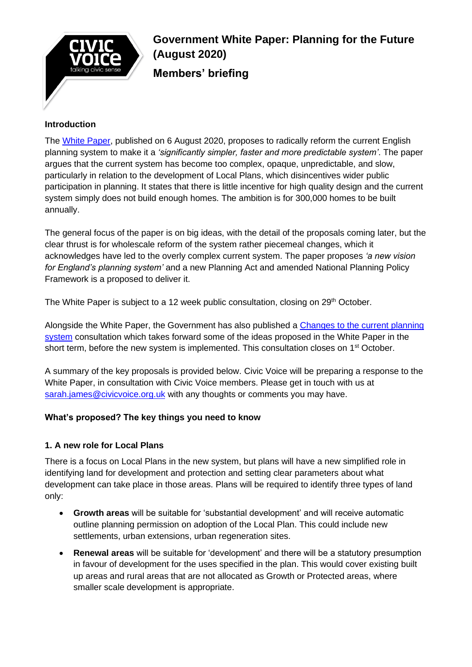

# **Government White Paper: Planning for the Future (August 2020) Members' briefing**

## **Introduction**

The [White Paper,](https://www.gov.uk/government/consultations/planning-for-the-future) published on 6 August 2020, proposes to radically reform the current English planning system to make it a *'significantly simpler, faster and more predictable system'*. The paper argues that the current system has become too complex, opaque, unpredictable, and slow, particularly in relation to the development of Local Plans, which disincentives wider public participation in planning. It states that there is little incentive for high quality design and the current system simply does not build enough homes. The ambition is for 300,000 homes to be built annually.

The general focus of the paper is on big ideas, with the detail of the proposals coming later, but the clear thrust is for wholescale reform of the system rather piecemeal changes, which it acknowledges have led to the overly complex current system. The paper proposes *'a new vision for England's planning system'* and a new Planning Act and amended National Planning Policy Framework is a proposed to deliver it.

The White Paper is subject to a 12 week public consultation, closing on  $29<sup>th</sup>$  October.

Alongside the White Paper, the Government has also published a [Changes to the current planning](https://www.gov.uk/government/consultations/changes-to-the-current-planning-system)  [system](https://www.gov.uk/government/consultations/changes-to-the-current-planning-system) consultation which takes forward some of the ideas proposed in the White Paper in the short term, before the new system is implemented. This consultation closes on 1<sup>st</sup> October.

A summary of the key proposals is provided below. Civic Voice will be preparing a response to the White Paper, in consultation with Civic Voice members. Please get in touch with us at [sarah.james@civicvoice.org.uk](mailto:sarah.james@civicvoice.org.uk) with any thoughts or comments you may have.

## **What's proposed? The key things you need to know**

## **1. A new role for Local Plans**

There is a focus on Local Plans in the new system, but plans will have a new simplified role in identifying land for development and protection and setting clear parameters about what development can take place in those areas. Plans will be required to identify three types of land only:

- **Growth areas** will be suitable for 'substantial development' and will receive automatic outline planning permission on adoption of the Local Plan. This could include new settlements, urban extensions, urban regeneration sites.
- **Renewal areas** will be suitable for 'development' and there will be a statutory presumption in favour of development for the uses specified in the plan. This would cover existing built up areas and rural areas that are not allocated as Growth or Protected areas, where smaller scale development is appropriate.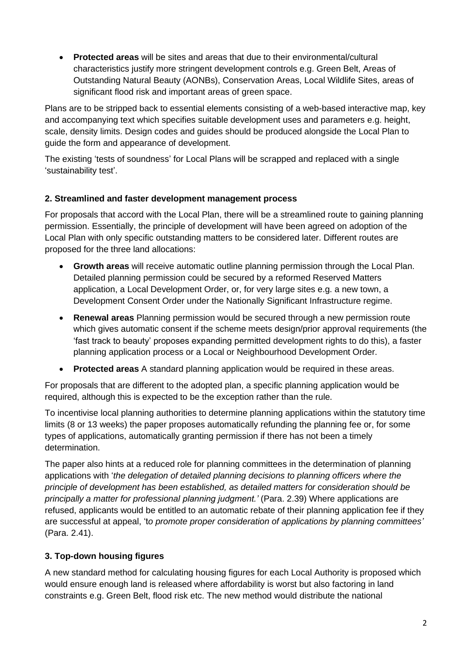• **Protected areas** will be sites and areas that due to their environmental/cultural characteristics justify more stringent development controls e.g. Green Belt, Areas of Outstanding Natural Beauty (AONBs), Conservation Areas, Local Wildlife Sites, areas of significant flood risk and important areas of green space.

Plans are to be stripped back to essential elements consisting of a web-based interactive map, key and accompanying text which specifies suitable development uses and parameters e.g. height, scale, density limits. Design codes and guides should be produced alongside the Local Plan to guide the form and appearance of development.

The existing 'tests of soundness' for Local Plans will be scrapped and replaced with a single 'sustainability test'.

# **2. Streamlined and faster development management process**

For proposals that accord with the Local Plan, there will be a streamlined route to gaining planning permission. Essentially, the principle of development will have been agreed on adoption of the Local Plan with only specific outstanding matters to be considered later. Different routes are proposed for the three land allocations:

- **Growth areas** will receive automatic outline planning permission through the Local Plan. Detailed planning permission could be secured by a reformed Reserved Matters application, a Local Development Order, or, for very large sites e.g. a new town, a Development Consent Order under the Nationally Significant Infrastructure regime.
- **Renewal areas** Planning permission would be secured through a new permission route which gives automatic consent if the scheme meets design/prior approval requirements (the 'fast track to beauty' proposes expanding permitted development rights to do this), a faster planning application process or a Local or Neighbourhood Development Order.
- **Protected areas** A standard planning application would be required in these areas.

For proposals that are different to the adopted plan, a specific planning application would be required, although this is expected to be the exception rather than the rule.

To incentivise local planning authorities to determine planning applications within the statutory time limits (8 or 13 weeks) the paper proposes automatically refunding the planning fee or, for some types of applications, automatically granting permission if there has not been a timely determination.

The paper also hints at a reduced role for planning committees in the determination of planning applications with '*the delegation of detailed planning decisions to planning officers where the principle of development has been established, as detailed matters for consideration should be principally a matter for professional planning judgment.'* (Para. 2.39) Where applications are refused, applicants would be entitled to an automatic rebate of their planning application fee if they are successful at appeal, 't*o promote proper consideration of applications by planning committees'*  (Para. 2.41).

# **3. Top-down housing figures**

A new standard method for calculating housing figures for each Local Authority is proposed which would ensure enough land is released where affordability is worst but also factoring in land constraints e.g. Green Belt, flood risk etc. The new method would distribute the national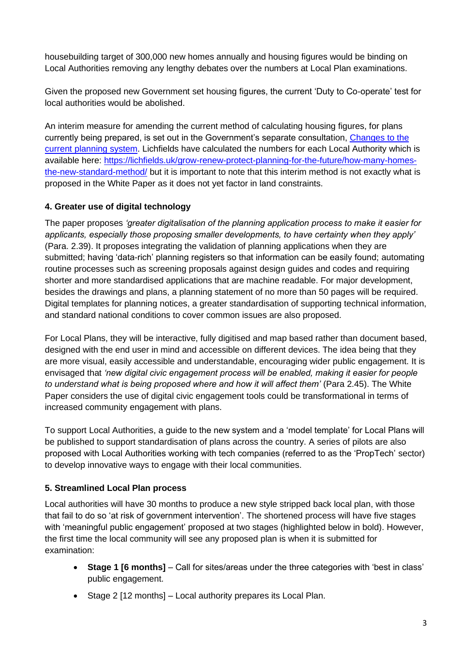housebuilding target of 300,000 new homes annually and housing figures would be binding on Local Authorities removing any lengthy debates over the numbers at Local Plan examinations.

Given the proposed new Government set housing figures, the current 'Duty to Co-operate' test for local authorities would be abolished.

An interim measure for amending the current method of calculating housing figures, for plans currently being prepared, is set out in the Government's separate consultation, [Changes to the](https://www.gov.uk/government/consultations/changes-to-the-current-planning-system)  [current planning system.](https://www.gov.uk/government/consultations/changes-to-the-current-planning-system) Lichfields have calculated the numbers for each Local Authority which is available here: [https://lichfields.uk/grow-renew-protect-planning-for-the-future/how-many-homes](https://lichfields.uk/grow-renew-protect-planning-for-the-future/how-many-homes-the-new-standard-method/)[the-new-standard-method/](https://lichfields.uk/grow-renew-protect-planning-for-the-future/how-many-homes-the-new-standard-method/) but it is important to note that this interim method is not exactly what is proposed in the White Paper as it does not yet factor in land constraints.

# **4. Greater use of digital technology**

The paper proposes *'greater digitalisation of the planning application process to make it easier for applicants, especially those proposing smaller developments, to have certainty when they apply'* (Para. 2.39). It proposes integrating the validation of planning applications when they are submitted; having 'data-rich' planning registers so that information can be easily found; automating routine processes such as screening proposals against design guides and codes and requiring shorter and more standardised applications that are machine readable. For major development, besides the drawings and plans, a planning statement of no more than 50 pages will be required. Digital templates for planning notices, a greater standardisation of supporting technical information, and standard national conditions to cover common issues are also proposed.

For Local Plans, they will be interactive, fully digitised and map based rather than document based, designed with the end user in mind and accessible on different devices. The idea being that they are more visual, easily accessible and understandable, encouraging wider public engagement. It is envisaged that *'new digital civic engagement process will be enabled, making it easier for people to understand what is being proposed where and how it will affect them'* (Para 2.45). The White Paper considers the use of digital civic engagement tools could be transformational in terms of increased community engagement with plans.

To support Local Authorities, a guide to the new system and a 'model template' for Local Plans will be published to support standardisation of plans across the country. A series of pilots are also proposed with Local Authorities working with tech companies (referred to as the 'PropTech' sector) to develop innovative ways to engage with their local communities.

## **5. Streamlined Local Plan process**

Local authorities will have 30 months to produce a new style stripped back local plan, with those that fail to do so 'at risk of government intervention'. The shortened process will have five stages with 'meaningful public engagement' proposed at two stages (highlighted below in bold). However, the first time the local community will see any proposed plan is when it is submitted for examination:

- **Stage 1 [6 months]**  Call for sites/areas under the three categories with 'best in class' public engagement.
- Stage 2 [12 months] Local authority prepares its Local Plan.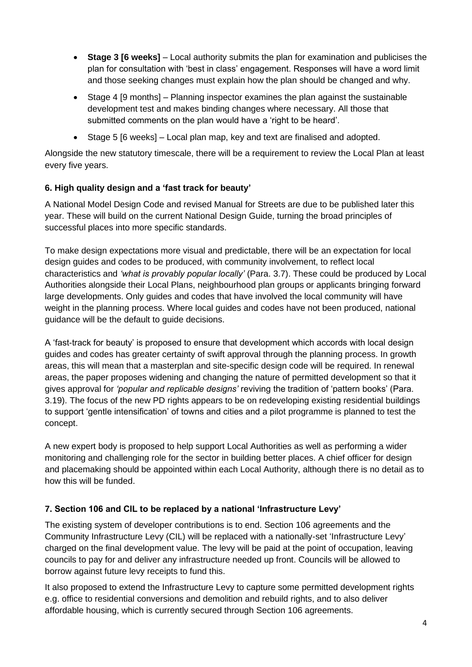- **Stage 3 [6 weeks]** Local authority submits the plan for examination and publicises the plan for consultation with 'best in class' engagement. Responses will have a word limit and those seeking changes must explain how the plan should be changed and why.
- Stage 4 [9 months] Planning inspector examines the plan against the sustainable development test and makes binding changes where necessary. All those that submitted comments on the plan would have a 'right to be heard'.
- Stage 5 [6 weeks] Local plan map, key and text are finalised and adopted.

Alongside the new statutory timescale, there will be a requirement to review the Local Plan at least every five years.

# **6. High quality design and a 'fast track for beauty'**

A National Model Design Code and revised Manual for Streets are due to be published later this year. These will build on the current National Design Guide, turning the broad principles of successful places into more specific standards.

To make design expectations more visual and predictable, there will be an expectation for local design guides and codes to be produced, with community involvement, to reflect local characteristics and *'what is provably popular locally'* (Para. 3.7). These could be produced by Local Authorities alongside their Local Plans, neighbourhood plan groups or applicants bringing forward large developments. Only guides and codes that have involved the local community will have weight in the planning process. Where local guides and codes have not been produced, national guidance will be the default to guide decisions.

A 'fast-track for beauty' is proposed to ensure that development which accords with local design guides and codes has greater certainty of swift approval through the planning process. In growth areas, this will mean that a masterplan and site-specific design code will be required. In renewal areas, the paper proposes widening and changing the nature of permitted development so that it gives approval for *'popular and replicable designs'* reviving the tradition of 'pattern books' (Para. 3.19). The focus of the new PD rights appears to be on redeveloping existing residential buildings to support 'gentle intensification' of towns and cities and a pilot programme is planned to test the concept.

A new expert body is proposed to help support Local Authorities as well as performing a wider monitoring and challenging role for the sector in building better places. A chief officer for design and placemaking should be appointed within each Local Authority, although there is no detail as to how this will be funded.

# **7. Section 106 and CIL to be replaced by a national 'Infrastructure Levy'**

The existing system of developer contributions is to end. Section 106 agreements and the Community Infrastructure Levy (CIL) will be replaced with a nationally-set 'Infrastructure Levy' charged on the final development value. The levy will be paid at the point of occupation, leaving councils to pay for and deliver any infrastructure needed up front. Councils will be allowed to borrow against future levy receipts to fund this.

It also proposed to extend the Infrastructure Levy to capture some permitted development rights e.g. office to residential conversions and demolition and rebuild rights, and to also deliver affordable housing, which is currently secured through Section 106 agreements.